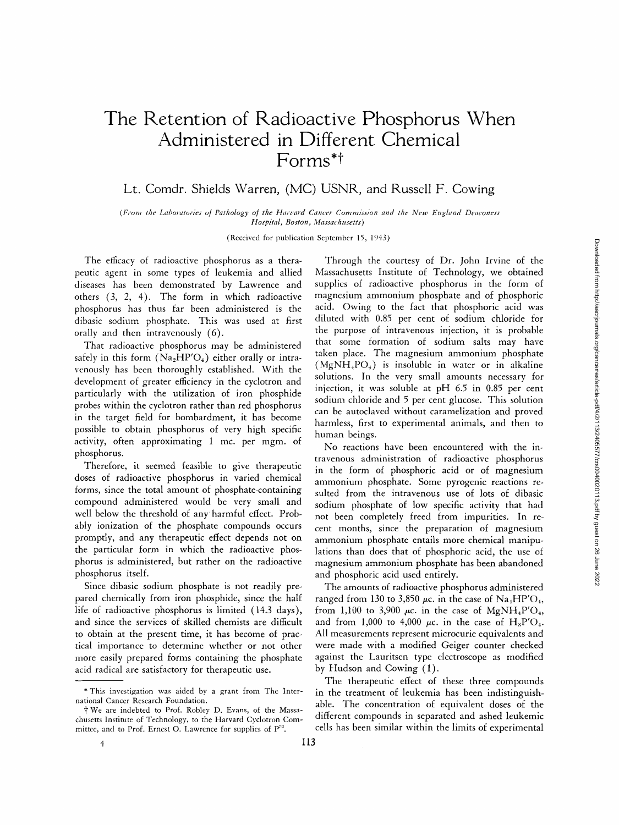## **The Retention of Radioactive Phosphorus When Administered in Different Chemical Forms\*t**

## Lt. Comdr. Shields Warren, (MC) USNR, and Russell F. Cowing

(From the Laboratories of Pathology of the Harvard Cancer Commission and the New England Deaconess *Hospital, Boston, Massachusetts)* 

(Received for publication September 15, 1943)

The efficacy of radioactive phosphorus as a therapeutic agent in some types of leukemia and allied diseases has been demonstrated by Lawrence and others (3, 2, 4). The form in which radioactive phosphorus has thus far been administered is the dibasic sodium phosphate. This was used at first orally and then intravenously (6).

That radioactive phosphorus may be administered safely in this form  $(Na_2HP'O_4)$  either orally or intravenously has been thoroughly established. With the development of greater efficiency in the cyclotron and particularly with the utilization of iron phosphide probes within the cyclotron rather than red phosphorus in the target field for bombardment, it has become possible to obtain phosphorus of very high specific activity, often approximating 1 mc. per mgm. of phosphorus.

Therefore, it seemed feasible to give therapeutic doses of radioactive phosphorus in varied chemical forms, since the total amount of phosphate-containing compound administered would be very small and well below the threshold of any harmful effect. Probably ionization of the phosphate compounds occurs promptly, and any therapeutic effect depends not on the particular form in which the radioactive phosphorus is administered, but rather on the radioactive phosphorus itself.

Since dibasic sodium phosphate is not readily prepared chemically from iron phosphide, since the half life of radioactive phosphorus is limited (14.3 days), and since the services of skilled chemists are difficult to obtain at the present time, it has become of practical importance to determine whether or not other more easily prepared forms containing the phosphate acid radical are satisfactory for therapeutic use.

Through the courtesy of Dr. John Irvine of the Massachusetts Institute of Technology, we obtained supplies of radioactive phosphorus in the form of magnesium ammonium phosphate and of phosphoric acid. Owing to the fact that phosphoric acid was diluted with 0.85 per cent of sodium chloride for the purpose of intravenous injection, it is probable that some formation of sodium salts may have taken place. The magnesium ammonium phosphate  $(MgNH<sub>+</sub>PO<sub>+</sub>)$  is insoluble in water or in alkaline solutions. In the very small amounts necessary for injection, it was soluble at pH 6.5 in 0.85 per cent sodium chloride and 5 per cent glucose. This solution can be autoclaved without caramelization and proved harmless, first to experimental animals, and then to human beings.

No reactions have been encountered with the intravenous administration of radioactive phosphorus in the form of phosphoric acid or of magnesium ammonium phosphate. Some pyrogenic reactions resuited from the intravenous use of lots of dibasic sodium phosphate of low specific activity that had not been completely freed from impurities. In recent months, since the preparation of magnesium ammonium phosphate entails more chemical manipulations than does that of phosphoric acid, the use of magnesium ammonium phosphate has been abandoned and phosphoric acid used entirely.

The amounts of radioactive phosphorus administered ranged from 130 to 3,850  $\mu$ c. in the case of Na<sub>1</sub>HP'O<sub>4</sub>, from 1,100 to 3,900  $\mu$ c. in the case of MgNH<sub>4</sub>P'O<sub>4</sub>, and from 1,000 to 4,000  $\mu$ c. in the case of H<sub>3</sub>P'O<sub>4</sub>. All measurements represent microcurie equivalents and were made with a modified Geiger counter checked against the Lauritsen type electroscope as modified by Hudson and Cowing (1).

The therapeutic effect of these three compounds in the treatment of leukemia has been indistinguishable. The concentration of equivalent doses of the different compounds in separated and ashed leukemic cells has been similar within the limits of experimental

<sup>\*</sup> This invcstigation was aided by a grant from The International Cancer Research Foundation.

t We are indebted to Prof. Robley D. Evans, of the Massachusetts Institute of Technology, to the Harvard Cyclotron Committee, and to Prof. Ernest O. Lawrence for supplies of  $P^{22}$ .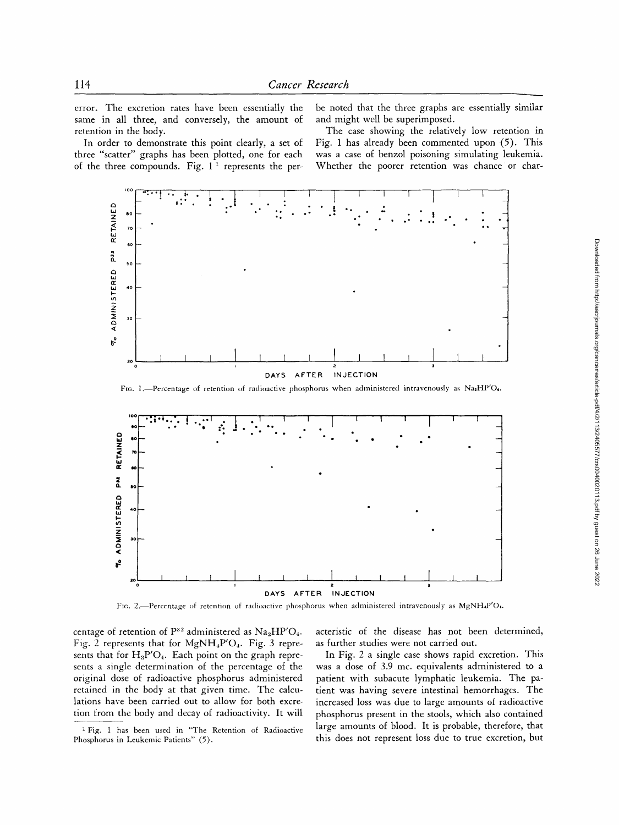error. The excretion rates have been essentially the same in all three, and conversely, the amount of retention in the body.

In order to demonstrate this point clearly, a set of three "scatter" graphs has been plotted, one for each of the three compounds. Fig.  $1^{\overline{1}}$  represents the per-

be noted that the three graphs are essentially similar and might well be superimposed.

The case showing the relatively low retention in Fig. 1 has already been commented upon (5). This was a case of benzol poisoning simulating leukemia. Whether the poorer retention was chance or char-



FIG. 1.-Percentage of retention of radioactive phosphorus when administered intravenously as Na2HP'O.



Fig. 2.-Percentage of retention of radioactive phosphorus when administered intravenously as MgNH4P'O<sub>1</sub>.

centage of retention of  $P^{32}$  administered as  $Na<sub>2</sub>HP'O<sub>4</sub>$ . Fig. 2 represents that for  $MgNH_4P'O_4$ . Fig. 3 represents that for  $H_3P'O_4$ . Each point on the graph represents a single determination of the percentage of the original dose of radioactive phosphorus administered retained in the body at that given time. The calculations have been carried out to allow for both excretion from the body and decay of radioactivity. It will acteristic of the disease has not been determined, as further studies were not carried out.

In Fig. 2 a single case shows rapid excretion. This was a dose of 3.9 mc. equivalents administered to a patient with subacute lymphatic leukemia. The patient was having severe intestinal hemorrhages. The increased loss was due to large amounts of radioactive phosphorus present in the stools, which also contained large amounts of blood. It is probable, therefore, that this does not represent loss due to true excretion, but

<sup>&</sup>lt;sup>1</sup> Fig. 1 has been used in "The Retention of Radioactive Phosphorus in Leukemic Patients" (5).